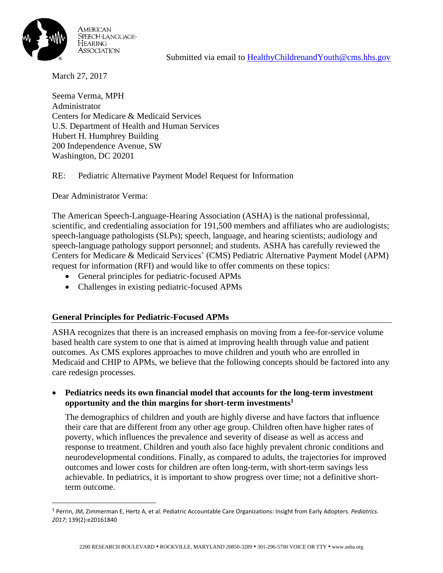

March 27, 2017

Seema Verma, MPH Administrator Centers for Medicare & Medicaid Services U.S. Department of Health and Human Services Hubert H. Humphrey Building 200 Independence Avenue, SW Washington, DC 20201

RE: Pediatric Alternative Payment Model Request for Information

Dear Administrator Verma:

The American Speech-Language-Hearing Association (ASHA) is the national professional, scientific, and credentialing association for 191,500 members and affiliates who are audiologists; speech-language pathologists (SLPs); speech, language, and hearing scientists; audiology and speech-language pathology support personnel; and students. ASHA has carefully reviewed the Centers for Medicare & Medicaid Services' (CMS) Pediatric Alternative Payment Model (APM) request for information (RFI) and would like to offer comments on these topics:

- General principles for pediatric-focused APMs
- Challenges in existing pediatric-focused APMs

# **General Principles for Pediatric-Focused APMs**

ASHA recognizes that there is an increased emphasis on moving from a fee-for-service volume based health care system to one that is aimed at improving health through value and patient outcomes. As CMS explores approaches to move children and youth who are enrolled in Medicaid and CHIP to APMs, we believe that the following concepts should be factored into any care redesign processes.

### • **Pediatrics needs its own financial model that accounts for the long-term investment opportunity and the thin margins for short-term investments<sup>1</sup>**

The demographics of children and youth are highly diverse and have factors that influence their care that are different from any other age group. Children often have higher rates of poverty, which influences the prevalence and severity of disease as well as access and response to treatment. Children and youth also face highly prevalent chronic conditions and neurodevelopmental conditions. Finally, as compared to adults, the trajectories for improved outcomes and lower costs for children are often long-term, with short-term savings less achievable. In pediatrics, it is important to show progress over time; not a definitive shortterm outcome.

<sup>1</sup> Perrin, JM, Zimmerman E, Hertz A, et al. Pediatric Accountable Care Organizations: Insight from Early Adopters. *Pediatrics*. *2017*; 139(2):e20161840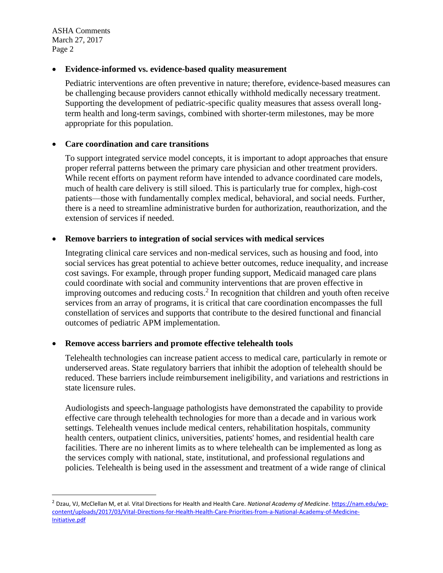ASHA Comments March 27, 2017 Page 2

### • **Evidence-informed vs. evidence-based quality measurement**

Pediatric interventions are often preventive in nature; therefore, evidence-based measures can be challenging because providers cannot ethically withhold medically necessary treatment. Supporting the development of pediatric-specific quality measures that assess overall longterm health and long-term savings, combined with shorter-term milestones, may be more appropriate for this population.

#### • **Care coordination and care transitions**

To support integrated service model concepts, it is important to adopt approaches that ensure proper referral patterns between the primary care physician and other treatment providers. While recent efforts on payment reform have intended to advance coordinated care models, much of health care delivery is still siloed. This is particularly true for complex, high-cost patients—those with fundamentally complex medical, behavioral, and social needs. Further, there is a need to streamline administrative burden for authorization, reauthorization, and the extension of services if needed.

### • **Remove barriers to integration of social services with medical services**

Integrating clinical care services and non-medical services, such as housing and food, into social services has great potential to achieve better outcomes, reduce inequality, and increase cost savings. For example, through proper funding support, Medicaid managed care plans could coordinate with social and community interventions that are proven effective in improving outcomes and reducing costs. 2 In recognition that children and youth often receive services from an array of programs, it is critical that care coordination encompasses the full constellation of services and supports that contribute to the desired functional and financial outcomes of pediatric APM implementation.

#### • **Remove access barriers and promote effective telehealth tools**

Telehealth technologies can increase patient access to medical care, particularly in remote or underserved areas. State regulatory barriers that inhibit the adoption of telehealth should be reduced. These barriers include reimbursement ineligibility, and variations and restrictions in state licensure rules.

Audiologists and speech-language pathologists have demonstrated the capability to provide effective care through telehealth technologies for more than a decade and in various work settings. Telehealth venues include medical centers, rehabilitation hospitals, community health centers, outpatient clinics, universities, patients' homes, and residential health care facilities. There are no inherent limits as to where telehealth can be implemented as long as the services comply with national, state, institutional, and professional regulations and policies. Telehealth is being used in the assessment and treatment of a wide range of clinical

<sup>2</sup> Dzau, VJ, McClellan M, et al. Vital Directions for Health and Health Care. *National Academy of Medicine*[. https://nam.edu/wp](https://nam.edu/wp-content/uploads/2017/03/Vital-Directions-for-Health-Health-Care-Priorities-from-a-National-Academy-of-Medicine-Initiative.pdf)[content/uploads/2017/03/Vital-Directions-for-Health-Health-Care-Priorities-from-a-National-Academy-of-Medicine-](https://nam.edu/wp-content/uploads/2017/03/Vital-Directions-for-Health-Health-Care-Priorities-from-a-National-Academy-of-Medicine-Initiative.pdf)[Initiative.pdf](https://nam.edu/wp-content/uploads/2017/03/Vital-Directions-for-Health-Health-Care-Priorities-from-a-National-Academy-of-Medicine-Initiative.pdf)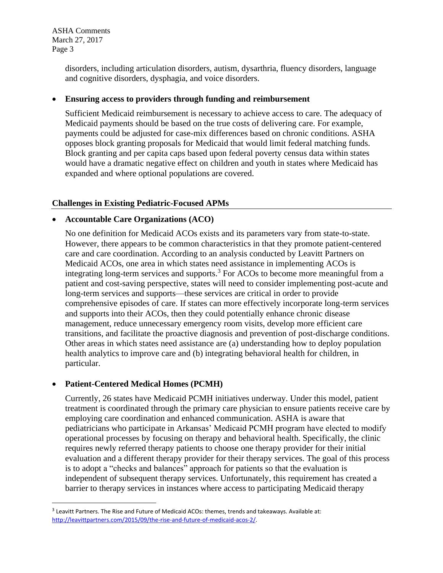ASHA Comments March 27, 2017 Page 3

> disorders, including articulation disorders, autism, dysarthria, fluency disorders, language and cognitive disorders, dysphagia, and voice disorders.

## • **Ensuring access to providers through funding and reimbursement**

Sufficient Medicaid reimbursement is necessary to achieve access to care. The adequacy of Medicaid payments should be based on the true costs of delivering care. For example, payments could be adjusted for case-mix differences based on chronic conditions. ASHA opposes block granting proposals for Medicaid that would limit federal matching funds. Block granting and per capita caps based upon federal poverty census data within states would have a dramatic negative effect on children and youth in states where Medicaid has expanded and where optional populations are covered.

# **Challenges in Existing Pediatric-Focused APMs**

#### • **Accountable Care Organizations (ACO)**

No one definition for Medicaid ACOs exists and its parameters vary from state-to-state. However, there appears to be common characteristics in that they promote patient-centered care and care coordination. According to an analysis conducted by Leavitt Partners on Medicaid ACOs, one area in which states need assistance in implementing ACOs is integrating long-term services and supports.<sup>3</sup> For ACOs to become more meaningful from a patient and cost-saving perspective, states will need to consider implementing post-acute and long-term services and supports—these services are critical in order to provide comprehensive episodes of care. If states can more effectively incorporate long-term services and supports into their ACOs, then they could potentially enhance chronic disease management, reduce unnecessary emergency room visits, develop more efficient care transitions, and facilitate the proactive diagnosis and prevention of post-discharge conditions. Other areas in which states need assistance are (a) understanding how to deploy population health analytics to improve care and (b) integrating behavioral health for children, in particular.

# • **Patient-Centered Medical Homes (PCMH)**

Currently, 26 states have Medicaid PCMH initiatives underway. Under this model, patient treatment is coordinated through the primary care physician to ensure patients receive care by employing care coordination and enhanced communication. ASHA is aware that pediatricians who participate in Arkansas' Medicaid PCMH program have elected to modify operational processes by focusing on therapy and behavioral health. Specifically, the clinic requires newly referred therapy patients to choose one therapy provider for their initial evaluation and a different therapy provider for their therapy services. The goal of this process is to adopt a "checks and balances" approach for patients so that the evaluation is independent of subsequent therapy services. Unfortunately, this requirement has created a barrier to therapy services in instances where access to participating Medicaid therapy

 $3$  Leavitt Partners. The Rise and Future of Medicaid ACOs: themes, trends and takeaways. Available at: [http://leavittpartners.com/2015/09/the-rise-and-future-of-medicaid-acos-2/.](http://leavittpartners.com/2015/09/the-rise-and-future-of-medicaid-acos-2/)